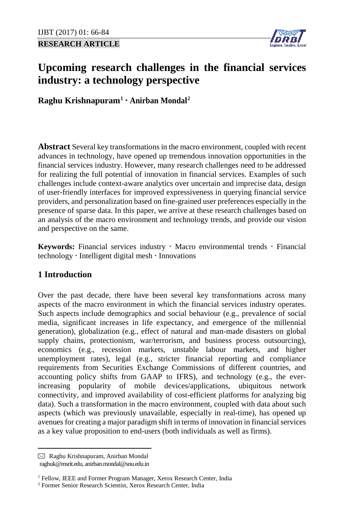**RESEARCH ARTICLE**



# **Upcoming research challenges in the financial services industry: a technology perspective**

**Raghu Krishnapuram[1](#page-0-0) Anirban Mondal[2](#page-0-1)**

**Abstract** Several key transformations in the macro environment, coupled with recent advances in technology, have opened up tremendous innovation opportunities in the financial services industry. However, many research challenges need to be addressed for realizing the full potential of innovation in financial services. Examples of such challenges include context-aware analytics over uncertain and imprecise data, design of user-friendly interfaces for improved expressiveness in querying financial service providers, and personalization based on fine-grained user preferences especially in the presence of sparse data. In this paper, we arrive at these research challenges based on an analysis of the macro environment and technology trends, and provide our vision and perspective on the same.

**Keywords:** Financial services industry  $\cdot$  Macro environmental trends  $\cdot$  Financial  $technology \cdot Intelligent digital mesh \cdot Innovations$ 

# **1 Introduction**

Over the past decade, there have been several key transformations across many aspects of the macro environment in which the financial services industry operates. Such aspects include demographics and social behaviour (e.g., prevalence of social media, significant increases in life expectancy, and emergence of the millennial generation), globalization (e.g., effect of natural and man-made disasters on global supply chains, protectionism, war/terrorism, and business process outsourcing), economics (e.g., recession markets, unstable labour markets, and higher unemployment rates), legal (e.g., stricter financial reporting and compliance requirements from Securities Exchange Commissions of different countries, and accounting policy shifts from GAAP to IFRS), and technology (e.g., the everincreasing popularity of mobile devices/applications, ubiquitous network connectivity, and improved availability of cost-efficient platforms for analyzing big data). Such a transformation in the macro environment, coupled with data about such aspects (which was previously unavailable, especially in real-time), has opened up avenues for creating a major paradigm shift in terms of innovation in financial services as a key value proposition to end-users (both individuals as well as firms).

 $\overline{a}$ 

<span id="page-0-0"></span> $\boxtimes$  Raghu Krishnapuram, Anirban Mondal

raghuk@msrit.edu, anirban.mondal@snu.edu.in

<sup>&</sup>lt;sup>1</sup> Fellow, IEEE and Former Program Manager, Xerox Research Center, India

<span id="page-0-1"></span><sup>2</sup> Former Senior Research Scientist, Xerox Research Center, India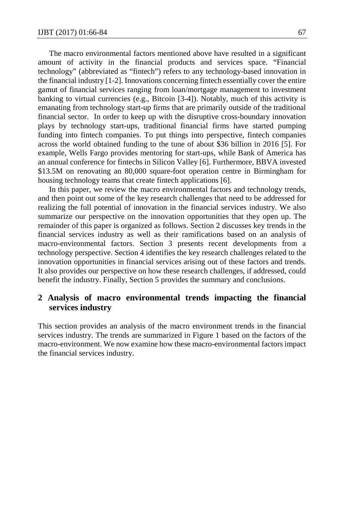The macro environmental factors mentioned above have resulted in a significant amount of activity in the financial products and services space. "Financial technology" (abbreviated as "fintech") refers to any technology-based innovation in the financial industry [1-2]. Innovations concerning fintech essentially cover the entire gamut of financial services ranging from loan/mortgage management to investment banking to virtual currencies (e.g., Bitcoin [3-4]). Notably, much of this activity is emanating from technology start-up firms that are primarily outside of the traditional financial sector. In order to keep up with the disruptive cross-boundary innovation plays by technology start-ups, traditional financial firms have started pumping funding into fintech companies. To put things into perspective, fintech companies across the world obtained funding to the tune of about \$36 billion in 2016 [5]. For example, Wells Fargo provides mentoring for start-ups, while Bank of America has an annual conference for fintechs in Silicon Valley [6]. Furthermore, BBVA invested \$13.5M on renovating an 80,000 square-foot operation centre in Birmingham for housing technology teams that create fintech applications [6].

In this paper, we review the macro environmental factors and technology trends, and then point out some of the key research challenges that need to be addressed for realizing the full potential of innovation in the financial services industry. We also summarize our perspective on the innovation opportunities that they open up. The remainder of this paper is organized as follows. Section 2 discusses key trends in the financial services industry as well as their ramifications based on an analysis of macro-environmental factors. Section 3 presents recent developments from a technology perspective. Section 4 identifies the key research challenges related to the innovation opportunities in financial services arising out of these factors and trends. It also provides our perspective on how these research challenges, if addressed, could benefit the industry. Finally, Section 5 provides the summary and conclusions.

## **2 Analysis of macro environmental trends impacting the financial services industry**

This section provides an analysis of the macro environment trends in the financial services industry. The trends are summarized in Figure 1 based on the factors of the macro-environment. We now examine how these macro-environmental factors impact the financial services industry.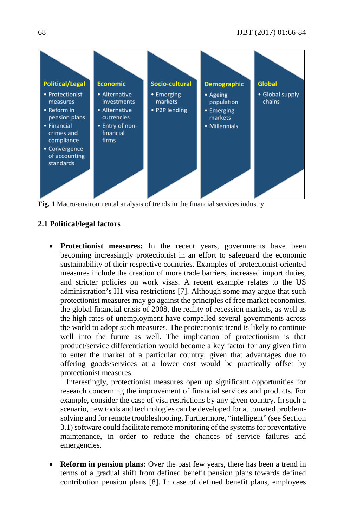

**Fig. 1** Macro-environmental analysis of trends in the financial services industry

## **2.1 Political/legal factors**

**Protectionist measures:** In the recent years, governments have been becoming increasingly protectionist in an effort to safeguard the economic sustainability of their respective countries. Examples of protectionist-oriented measures include the creation of more trade barriers, increased import duties, and stricter policies on work visas. A recent example relates to the US administration's H1 visa restrictions [7]. Although some may argue that such protectionist measures may go against the principles of free market economics, the global financial crisis of 2008, the reality of recession markets, as well as the high rates of unemployment have compelled several governments across the world to adopt such measures. The protectionist trend is likely to continue well into the future as well. The implication of protectionism is that product/service differentiation would become a key factor for any given firm to enter the market of a particular country, given that advantages due to offering goods/services at a lower cost would be practically offset by protectionist measures.

Interestingly, protectionist measures open up significant opportunities for research concerning the improvement of financial services and products. For example, consider the case of visa restrictions by any given country. In such a scenario, new tools and technologies can be developed for automated problemsolving and for remote troubleshooting. Furthermore, "intelligent" (see Section 3.1) software could facilitate remote monitoring of the systems for preventative maintenance, in order to reduce the chances of service failures and emergencies.

**Reform in pension plans:** Over the past few years, there has been a trend in terms of a gradual shift from defined benefit pension plans towards defined contribution pension plans [8]. In case of defined benefit plans, employees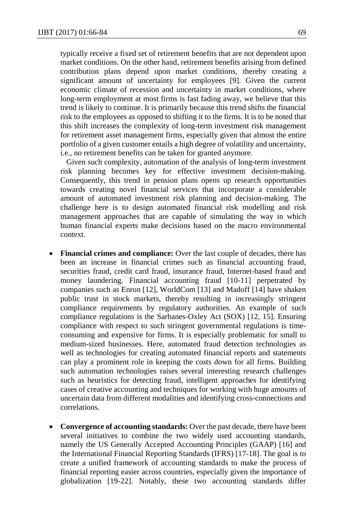typically receive a fixed set of retirement benefits that are not dependent upon market conditions. On the other hand, retirement benefits arising from defined contribution plans depend upon market conditions, thereby creating a significant amount of uncertainty for employees [9]. Given the current economic climate of recession and uncertainty in market conditions, where long-term employment at most firms is fast fading away, we believe that this trend is likely to continue. It is primarily because this trend shifts the financial risk to the employees as opposed to shifting it to the firms. It is to be noted that this shift increases the complexity of long-term investment risk management for retirement asset management firms, especially given that almost the entire portfolio of a given customer entails a high degree of volatility and uncertainty, i.e., no retirement benefits can be taken for granted anymore.

Given such complexity, automation of the analysis of long-term investment risk planning becomes key for effective investment decision-making. Consequently, this trend in pension plans opens up research opportunities towards creating novel financial services that incorporate a considerable amount of automated investment risk planning and decision-making. The challenge here is to design automated financial risk modelling and risk management approaches that are capable of simulating the way in which human financial experts make decisions based on the macro environmental context.

- **Financial crimes and compliance:** Over the last couple of decades, there has been an increase in financial crimes such as financial accounting fraud, securities fraud, credit card fraud, insurance fraud, Internet-based fraud and money laundering. Financial accounting fraud [10-11] perpetrated by companies such as Enron [12], WorldCom [13] and Madoff [14] have shaken public trust in stock markets, thereby resulting in increasingly stringent compliance requirements by regulatory authorities. An example of such compliance regulations is the Sarbanes-Oxley Act (SOX) [12, 15]. Ensuring compliance with respect to such stringent governmental regulations is timeconsuming and expensive for firms. It is especially problematic for small to medium-sized businesses. Here, automated fraud detection technologies as well as technologies for creating automated financial reports and statements can play a prominent role in keeping the costs down for all firms. Building such automation technologies raises several interesting research challenges such as heuristics for detecting fraud, intelligent approaches for identifying cases of creative accounting and techniques for working with huge amounts of uncertain data from different modalities and identifying cross-connections and correlations.
- **Convergence of accounting standards:** Over the past decade, there have been several initiatives to combine the two widely used accounting standards, namely the US Generally Accepted Accounting Principles (GAAP) [16] and the International Financial Reporting Standards (IFRS) [17-18]. The goal is to create a unified framework of accounting standards to make the process of financial reporting easier across countries, especially given the importance of globalization [19-22]. Notably, these two accounting standards differ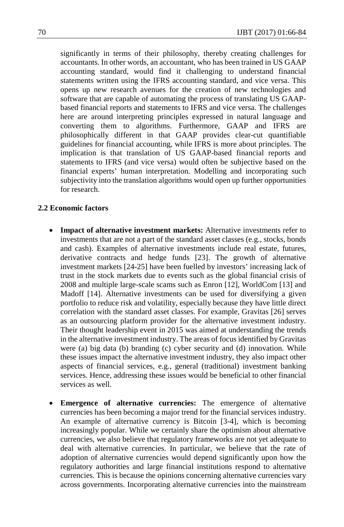significantly in terms of their philosophy, thereby creating challenges for accountants. In other words, an accountant, who has been trained in US GAAP accounting standard, would find it challenging to understand financial statements written using the IFRS accounting standard, and vice versa. This opens up new research avenues for the creation of new technologies and software that are capable of automating the process of translating US GAAPbased financial reports and statements to IFRS and vice versa. The challenges here are around interpreting principles expressed in natural language and converting them to algorithms. Furthermore, GAAP and IFRS are philosophically different in that GAAP provides clear-cut quantifiable guidelines for financial accounting, while IFRS is more about principles. The implication is that translation of US GAAP-based financial reports and statements to IFRS (and vice versa) would often be subjective based on the financial experts' human interpretation. Modelling and incorporating such subjectivity into the translation algorithms would open up further opportunities for research.

#### **2.2 Economic factors**

- **Impact of alternative investment markets:** Alternative investments refer to investments that are not a part of the standard asset classes (e.g., stocks, bonds and cash). Examples of alternative investments include real estate, futures, derivative contracts and hedge funds [23]. The growth of alternative investment markets [24-25] have been fuelled by investors' increasing lack of trust in the stock markets due to events such as the global financial crisis of 2008 and multiple large-scale scams such as Enron [12], WorldCom [13] and Madoff [14]. Alternative investments can be used for diversifying a given portfolio to reduce risk and volatility, especially because they have little direct correlation with the standard asset classes. For example, Gravitas [26] serves as an outsourcing platform provider for the alternative investment industry. Their thought leadership event in 2015 was aimed at understanding the trends in the alternative investment industry. The areas of focus identified by Gravitas were (a) big data (b) branding (c) cyber security and (d) innovation. While these issues impact the alternative investment industry, they also impact other aspects of financial services, e.g., general (traditional) investment banking services. Hence, addressing these issues would be beneficial to other financial services as well.
- **Emergence of alternative currencies:** The emergence of alternative currencies has been becoming a major trend for the financial services industry. An example of alternative currency is Bitcoin [3-4], which is becoming increasingly popular. While we certainly share the optimism about alternative currencies, we also believe that regulatory frameworks are not yet adequate to deal with alternative currencies. In particular, we believe that the rate of adoption of alternative currencies would depend significantly upon how the regulatory authorities and large financial institutions respond to alternative currencies. This is because the opinions concerning alternative currencies vary across governments. Incorporating alternative currencies into the mainstream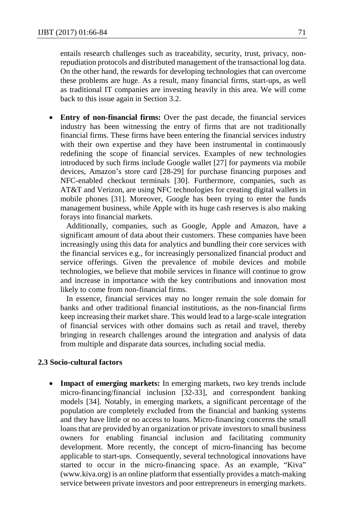entails research challenges such as traceability, security, trust, privacy, nonrepudiation protocols and distributed management of the transactional log data. On the other hand, the rewards for developing technologies that can overcome these problems are huge. As a result, many financial firms, start-ups, as well as traditional IT companies are investing heavily in this area. We will come back to this issue again in Section 3.2.

**Entry of non-financial firms:** Over the past decade, the financial services industry has been witnessing the entry of firms that are not traditionally financial firms. These firms have been entering the financial services industry with their own expertise and they have been instrumental in continuously redefining the scope of financial services. Examples of new technologies introduced by such firms include Google wallet [27] for payments via mobile devices, Amazon's store card [28-29] for purchase financing purposes and NFC-enabled checkout terminals [30]. Furthermore, companies, such as AT&T and Verizon, are using NFC technologies for creating digital wallets in mobile phones [31]. Moreover, Google has been trying to enter the funds management business, while Apple with its huge cash reserves is also making forays into financial markets.

Additionally, companies, such as Google, Apple and Amazon, have a significant amount of data about their customers. These companies have been increasingly using this data for analytics and bundling their core services with the financial services e.g., for increasingly personalized financial product and service offerings. Given the prevalence of mobile devices and mobile technologies, we believe that mobile services in finance will continue to grow and increase in importance with the key contributions and innovation most likely to come from non-financial firms.

In essence, financial services may no longer remain the sole domain for banks and other traditional financial institutions, as the non-financial firms keep increasing their market share. This would lead to a large-scale integration of financial services with other domains such as retail and travel, thereby bringing in research challenges around the integration and analysis of data from multiple and disparate data sources, including social media.

#### **2.3 Socio-cultural factors**

• **Impact of emerging markets:** In emerging markets, two key trends include micro-financing/financial inclusion [32-33], and correspondent banking models [34]. Notably, in emerging markets, a significant percentage of the population are completely excluded from the financial and banking systems and they have little or no access to loans. Micro-financing concerns the small loans that are provided by an organization or private investors to small business owners for enabling financial inclusion and facilitating community development. More recently, the concept of micro-financing has become applicable to start-ups. Consequently, several technological innovations have started to occur in the micro-financing space. As an example, "Kiva" (www.kiva.org) is an online platform that essentially provides a match-making service between private investors and poor entrepreneurs in emerging markets.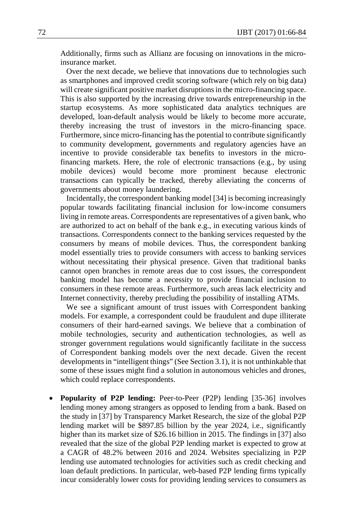Additionally, firms such as Allianz are focusing on innovations in the microinsurance market.

Over the next decade, we believe that innovations due to technologies such as smartphones and improved credit scoring software (which rely on big data) will create significant positive market disruptions in the micro-financing space. This is also supported by the increasing drive towards entrepreneurship in the startup ecosystems. As more sophisticated data analytics techniques are developed, loan-default analysis would be likely to become more accurate, thereby increasing the trust of investors in the micro-financing space. Furthermore, since micro-financing has the potential to contribute significantly to community development, governments and regulatory agencies have an incentive to provide considerable tax benefits to investors in the microfinancing markets. Here, the role of electronic transactions (e.g., by using mobile devices) would become more prominent because electronic transactions can typically be tracked, thereby alleviating the concerns of governments about money laundering.

Incidentally, the correspondent banking model [34] is becoming increasingly popular towards facilitating financial inclusion for low-income consumers living in remote areas. Correspondents are representatives of a given bank, who are authorized to act on behalf of the bank e.g., in executing various kinds of transactions. Correspondents connect to the banking services requested by the consumers by means of mobile devices. Thus, the correspondent banking model essentially tries to provide consumers with access to banking services without necessitating their physical presence. Given that traditional banks cannot open branches in remote areas due to cost issues, the correspondent banking model has become a necessity to provide financial inclusion to consumers in these remote areas. Furthermore, such areas lack electricity and Internet connectivity, thereby precluding the possibility of installing ATMs.

We see a significant amount of trust issues with Correspondent banking models. For example, a correspondent could be fraudulent and dupe illiterate consumers of their hard-earned savings. We believe that a combination of mobile technologies, security and authentication technologies, as well as stronger government regulations would significantly facilitate in the success of Correspondent banking models over the next decade. Given the recent developments in "intelligent things" (See Section 3.1), it is not unthinkable that some of these issues might find a solution in autonomous vehicles and drones, which could replace correspondents.

**Popularity of P2P lending:** Peer-to-Peer (P2P) lending [35-36] involves lending money among strangers as opposed to lending from a bank. Based on the study in [37] by Transparency Market Research, the size of the global P2P lending market will be \$897.85 billion by the year 2024, i.e., significantly higher than its market size of \$26.16 billion in 2015. The findings in [37] also revealed that the size of the global P2P lending market is expected to grow at a CAGR of 48.2% between 2016 and 2024. Websites specializing in P2P lending use automated technologies for activities such as credit checking and loan default predictions. In particular, web-based P2P lending firms typically incur considerably lower costs for providing lending services to consumers as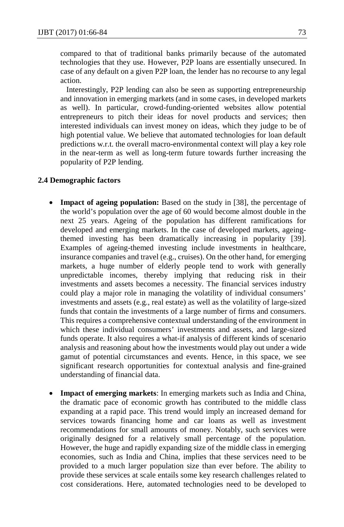compared to that of traditional banks primarily because of the automated technologies that they use. However, P2P loans are essentially unsecured. In case of any default on a given P2P loan, the lender has no recourse to any legal action.

Interestingly, P2P lending can also be seen as supporting entrepreneurship and innovation in emerging markets (and in some cases, in developed markets as well). In particular, crowd-funding-oriented websites allow potential entrepreneurs to pitch their ideas for novel products and services; then interested individuals can invest money on ideas, which they judge to be of high potential value. We believe that automated technologies for loan default predictions w.r.t. the overall macro-environmental context will play a key role in the near-term as well as long-term future towards further increasing the popularity of P2P lending.

#### **2.4 Demographic factors**

- **Impact of ageing population:** Based on the study in [38], the percentage of the world's population over the age of 60 would become almost double in the next 25 years. Ageing of the population has different ramifications for developed and emerging markets. In the case of developed markets, ageingthemed investing has been dramatically increasing in popularity [39]. Examples of ageing-themed investing include investments in healthcare, insurance companies and travel (e.g., cruises). On the other hand, for emerging markets, a huge number of elderly people tend to work with generally unpredictable incomes, thereby implying that reducing risk in their investments and assets becomes a necessity. The financial services industry could play a major role in managing the volatility of individual consumers' investments and assets (e.g., real estate) as well as the volatility of large-sized funds that contain the investments of a large number of firms and consumers. This requires a comprehensive contextual understanding of the environment in which these individual consumers' investments and assets, and large-sized funds operate. It also requires a what-if analysis of different kinds of scenario analysis and reasoning about how the investments would play out under a wide gamut of potential circumstances and events. Hence, in this space, we see significant research opportunities for contextual analysis and fine-grained understanding of financial data.
- **Impact of emerging markets**: In emerging markets such as India and China, the dramatic pace of economic growth has contributed to the middle class expanding at a rapid pace. This trend would imply an increased demand for services towards financing home and car loans as well as investment recommendations for small amounts of money. Notably, such services were originally designed for a relatively small percentage of the population. However, the huge and rapidly expanding size of the middle class in emerging economies, such as India and China, implies that these services need to be provided to a much larger population size than ever before. The ability to provide these services at scale entails some key research challenges related to cost considerations. Here, automated technologies need to be developed to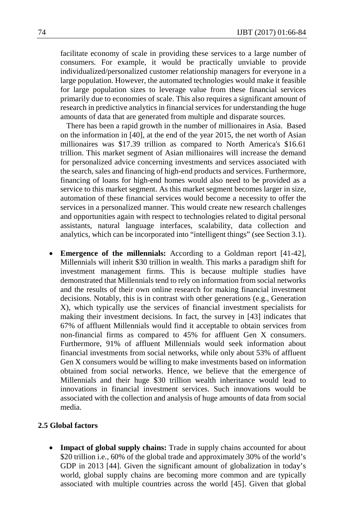facilitate economy of scale in providing these services to a large number of consumers. For example, it would be practically unviable to provide individualized/personalized customer relationship managers for everyone in a large population. However, the automated technologies would make it feasible for large population sizes to leverage value from these financial services primarily due to economies of scale. This also requires a significant amount of research in predictive analytics in financial services for understanding the huge amounts of data that are generated from multiple and disparate sources.

There has been a rapid growth in the number of millionaires in Asia. Based on the information in [40], at the end of the year 2015, the net worth of Asian millionaires was \$17.39 trillion as compared to North America's \$16.61 trillion. This market segment of Asian millionaires will increase the demand for personalized advice concerning investments and services associated with the search, sales and financing of high-end products and services. Furthermore, financing of loans for high-end homes would also need to be provided as a service to this market segment. As this market segment becomes larger in size, automation of these financial services would become a necessity to offer the services in a personalized manner. This would create new research challenges and opportunities again with respect to technologies related to digital personal assistants, natural language interfaces, scalability, data collection and analytics, which can be incorporated into "intelligent things" (see Section 3.1).

• **Emergence of the millennials:** According to a Goldman report [41-42], Millennials will inherit \$30 trillion in wealth. This marks a paradigm shift for investment management firms. This is because multiple studies have demonstrated that Millennials tend to rely on information from social networks and the results of their own online research for making financial investment decisions. Notably, this is in contrast with other generations (e.g., Generation X), which typically use the services of financial investment specialists for making their investment decisions. In fact, the survey in [43] indicates that 67% of affluent Millennials would find it acceptable to obtain services from non-financial firms as compared to 45% for affluent Gen X consumers. Furthermore, 91% of affluent Millennials would seek information about financial investments from social networks, while only about 53% of affluent Gen X consumers would be willing to make investments based on information obtained from social networks. Hence, we believe that the emergence of Millennials and their huge \$30 trillion wealth inheritance would lead to innovations in financial investment services. Such innovations would be associated with the collection and analysis of huge amounts of data from social media.

#### **2.5 Global factors**

Impact of global supply chains: Trade in supply chains accounted for about \$20 trillion i.e., 60% of the global trade and approximately 30% of the world's GDP in 2013 [44]. Given the significant amount of globalization in today's world, global supply chains are becoming more common and are typically associated with multiple countries across the world [45]. Given that global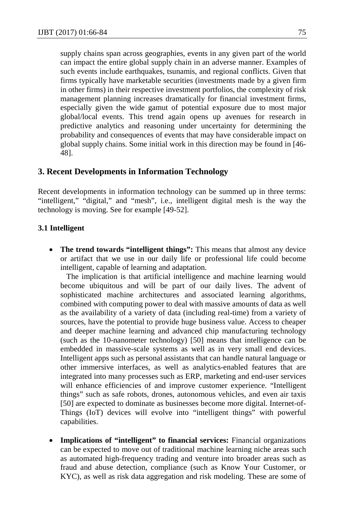supply chains span across geographies, events in any given part of the world can impact the entire global supply chain in an adverse manner. Examples of such events include earthquakes, tsunamis, and regional conflicts. Given that firms typically have marketable securities (investments made by a given firm in other firms) in their respective investment portfolios, the complexity of risk management planning increases dramatically for financial investment firms, especially given the wide gamut of potential exposure due to most major global/local events. This trend again opens up avenues for research in predictive analytics and reasoning under uncertainty for determining the probability and consequences of events that may have considerable impact on global supply chains. Some initial work in this direction may be found in [46- 48].

# **3. Recent Developments in Information Technology**

Recent developments in information technology can be summed up in three terms: "intelligent," "digital," and "mesh", i.e., intelligent digital mesh is the way the technology is moving. See for example [49-52].

### **3.1 Intelligent**

**The trend towards "intelligent things":** This means that almost any device or artifact that we use in our daily life or professional life could become intelligent, capable of learning and adaptation.

The implication is that artificial intelligence and machine learning would become ubiquitous and will be part of our daily lives. The advent of sophisticated machine architectures and associated learning algorithms, combined with computing power to deal with massive amounts of data as well as the availability of a variety of data (including real-time) from a variety of sources, have the potential to provide huge business value. Access to cheaper and deeper machine learning and advanced chip manufacturing technology (such as the 10-nanometer technology) [50] means that intelligence can be embedded in massive-scale systems as well as in very small end devices. Intelligent apps such as personal assistants that can handle natural language or other immersive interfaces, as well as analytics-enabled features that are integrated into many processes such as ERP, marketing and end-user services will enhance efficiencies of and improve customer experience. "Intelligent things" such as safe robots, drones, autonomous vehicles, and even air taxis [50] are expected to dominate as businesses become more digital. Internet-of-Things (IoT) devices will evolve into "intelligent things" with powerful capabilities.

**Implications of "intelligent" to financial services:** Financial organizations can be expected to move out of traditional machine learning niche areas such as automated high-frequency trading and venture into broader areas such as fraud and abuse detection, compliance (such as Know Your Customer, or KYC), as well as risk data aggregation and risk modeling. These are some of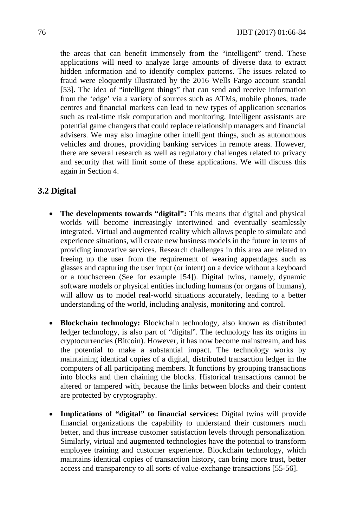the areas that can benefit immensely from the "intelligent" trend. These applications will need to analyze large amounts of diverse data to extract hidden information and to identify complex patterns. The issues related to fraud were eloquently illustrated by the 2016 Wells Fargo account scandal [53]. The idea of "intelligent things" that can send and receive information from the 'edge' via a variety of sources such as ATMs, mobile phones, trade centres and financial markets can lead to new types of application scenarios such as real-time risk computation and monitoring. Intelligent assistants are potential game changers that could replace relationship managers and financial advisers. We may also imagine other intelligent things, such as autonomous vehicles and drones, providing banking services in remote areas. However, there are several research as well as regulatory challenges related to privacy and security that will limit some of these applications. We will discuss this again in Section 4.

# **3.2 Digital**

- **The developments towards "digital":** This means that digital and physical worlds will become increasingly intertwined and eventually seamlessly integrated. Virtual and augmented reality which allows people to simulate and experience situations, will create new business models in the future in terms of providing innovative services. Research challenges in this area are related to freeing up the user from the requirement of wearing appendages such as glasses and capturing the user input (or intent) on a device without a keyboard or a touchscreen (See for example [54]). Digital twins, namely, dynamic software models or physical entities including humans (or organs of humans), will allow us to model real-world situations accurately, leading to a better understanding of the world, including analysis, monitoring and control.
- **Blockchain technology:** Blockchain technology, also known as distributed ledger technology, is also part of "digital". The technology has its origins in cryptocurrencies (Bitcoin). However, it has now become mainstream, and has the potential to make a substantial impact. The technology works by maintaining identical copies of a digital, distributed transaction ledger in the computers of all participating members. It functions by grouping transactions into blocks and then chaining the blocks. Historical transactions cannot be altered or tampered with, because the links between blocks and their content are protected by cryptography.
- **Implications of "digital" to financial services:** Digital twins will provide financial organizations the capability to understand their customers much better, and thus increase customer satisfaction levels through personalization. Similarly, virtual and augmented technologies have the potential to transform employee training and customer experience. Blockchain technology, which maintains identical copies of transaction history, can bring more trust, better access and transparency to all sorts of value-exchange transactions [55-56].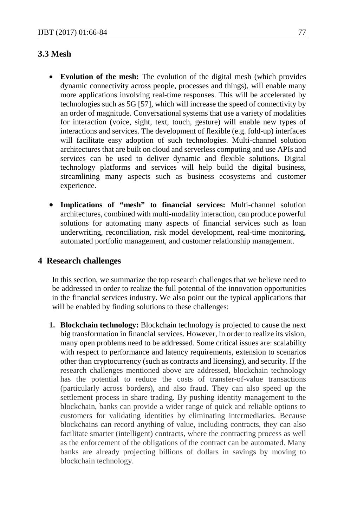# **3.3 Mesh**

- **Evolution of the mesh:** The evolution of the digital mesh (which provides dynamic connectivity across people, processes and things), will enable many more applications involving real-time responses. This will be accelerated by technologies such as 5G [57], which will increase the speed of connectivity by an order of magnitude. Conversational systems that use a variety of modalities for interaction (voice, sight, text, touch, gesture) will enable new types of interactions and services. The development of flexible (e.g. fold-up) interfaces will facilitate easy adoption of such technologies. Multi-channel solution architectures that are built on cloud and serverless computing and use APIs and services can be used to deliver dynamic and flexible solutions. Digital technology platforms and services will help build the digital business, streamlining many aspects such as business ecosystems and customer experience.
- **Implications of "mesh" to financial services:** Multi-channel solution architectures, combined with multi-modality interaction, can produce powerful solutions for automating many aspects of financial services such as loan underwriting, reconciliation, risk model development, real-time monitoring, automated portfolio management, and customer relationship management.

## **4 Research challenges**

In this section, we summarize the top research challenges that we believe need to be addressed in order to realize the full potential of the innovation opportunities in the financial services industry. We also point out the typical applications that will be enabled by finding solutions to these challenges:

**1. Blockchain technology:** Blockchain technology is projected to cause the next big transformation in financial services. However, in order to realize its vision, many open problems need to be addressed. Some critical issues are: scalability with respect to performance and latency requirements, extension to scenarios other than cryptocurrency (such as contracts and licensing), and security. If the research challenges mentioned above are addressed, blockchain technology has the potential to reduce the costs of transfer-of-value transactions (particularly across borders), and also fraud. They can also speed up the settlement process in share trading. By pushing identity management to the blockchain, banks can provide a wider range of quick and reliable options to customers for validating identities by eliminating intermediaries. Because blockchains can record anything of value, including contracts, they can also facilitate smarter (intelligent) contracts, where the contracting process as well as the enforcement of the obligations of the contract can be automated. Many banks are already projecting billions of dollars in savings by moving to blockchain technology.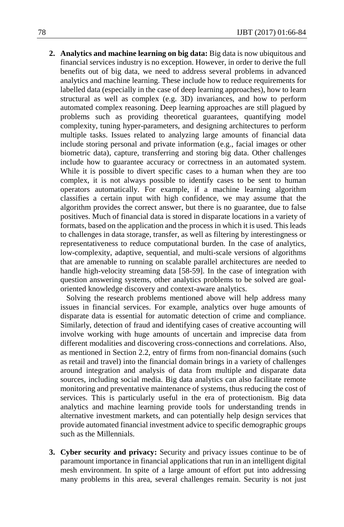**2. Analytics and machine learning on big data:** Big data is now ubiquitous and financial services industry is no exception. However, in order to derive the full benefits out of big data, we need to address several problems in advanced analytics and machine learning. These include how to reduce requirements for labelled data (especially in the case of deep learning approaches), how to learn structural as well as complex (e.g. 3D) invariances, and how to perform automated complex reasoning. Deep learning approaches are still plagued by problems such as providing theoretical guarantees, quantifying model complexity, tuning hyper-parameters, and designing architectures to perform multiple tasks. Issues related to analyzing large amounts of financial data include storing personal and private information (e.g., facial images or other biometric data), capture, transferring and storing big data. Other challenges include how to guarantee accuracy or correctness in an automated system. While it is possible to divert specific cases to a human when they are too complex, it is not always possible to identify cases to be sent to human operators automatically. For example, if a machine learning algorithm classifies a certain input with high confidence, we may assume that the algorithm provides the correct answer, but there is no guarantee, due to false positives. Much of financial data is stored in disparate locations in a variety of formats, based on the application and the process in which it is used. This leads to challenges in data storage, transfer, as well as filtering by interestingness or representativeness to reduce computational burden. In the case of analytics, low-complexity, adaptive, sequential, and multi-scale versions of algorithms that are amenable to running on scalable parallel architectures are needed to handle high-velocity streaming data [58-59]. In the case of integration with question answering systems, other analytics problems to be solved are goaloriented knowledge discovery and context-aware analytics.

Solving the research problems mentioned above will help address many issues in financial services. For example, analytics over huge amounts of disparate data is essential for automatic detection of crime and compliance. Similarly, detection of fraud and identifying cases of creative accounting will involve working with huge amounts of uncertain and imprecise data from different modalities and discovering cross-connections and correlations. Also, as mentioned in Section 2.2, entry of firms from non-financial domains (such as retail and travel) into the financial domain brings in a variety of challenges around integration and analysis of data from multiple and disparate data sources, including social media. Big data analytics can also facilitate remote monitoring and preventative maintenance of systems, thus reducing the cost of services. This is particularly useful in the era of protectionism. Big data analytics and machine learning provide tools for understanding trends in alternative investment markets, and can potentially help design services that provide automated financial investment advice to specific demographic groups such as the Millennials.

**3. Cyber security and privacy:** Security and privacy issues continue to be of paramount importance in financial applications that run in an intelligent digital mesh environment. In spite of a large amount of effort put into addressing many problems in this area, several challenges remain. Security is not just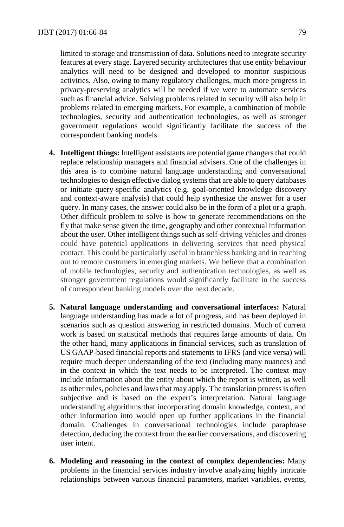limited to storage and transmission of data. Solutions need to integrate security features at every stage. Layered security architectures that use entity behaviour analytics will need to be designed and developed to monitor suspicious activities. Also, owing to many regulatory challenges, much more progress in privacy-preserving analytics will be needed if we were to automate services such as financial advice. Solving problems related to security will also help in problems related to emerging markets. For example, a combination of mobile technologies, security and authentication technologies, as well as stronger government regulations would significantly facilitate the success of the correspondent banking models.

- **4. Intelligent things:** Intelligent assistants are potential game changers that could replace relationship managers and financial advisers. One of the challenges in this area is to combine natural language understanding and conversational technologies to design effective dialog systems that are able to query databases or initiate query-specific analytics (e.g. goal-oriented knowledge discovery and context-aware analysis) that could help synthesize the answer for a user query. In many cases, the answer could also be in the form of a plot or a graph. Other difficult problem to solve is how to generate recommendations on the fly that make sense given the time, geography and other contextual information about the user. Other intelligent things such as self-driving vehicles and drones could have potential applications in delivering services that need physical contact. This could be particularly useful in branchless banking and in reaching out to remote customers in emerging markets. We believe that a combination of mobile technologies, security and authentication technologies, as well as stronger government regulations would significantly facilitate in the success of correspondent banking models over the next decade.
- **5. Natural language understanding and conversational interfaces:** Natural language understanding has made a lot of progress, and has been deployed in scenarios such as question answering in restricted domains. Much of current work is based on statistical methods that requires large amounts of data. On the other hand, many applications in financial services, such as translation of US GAAP-based financial reports and statements to IFRS (and vice versa) will require much deeper understanding of the text (including many nuances) and in the context in which the text needs to be interpreted. The context may include information about the entity about which the report is written, as well as other rules, policies and laws that may apply. The translation process is often subjective and is based on the expert's interpretation. Natural language understanding algorithms that incorporating domain knowledge, context, and other information into would open up further applications in the financial domain. Challenges in conversational technologies include paraphrase detection, deducing the context from the earlier conversations, and discovering user intent.
- **6. Modeling and reasoning in the context of complex dependencies:** Many problems in the financial services industry involve analyzing highly intricate relationships between various financial parameters, market variables, events,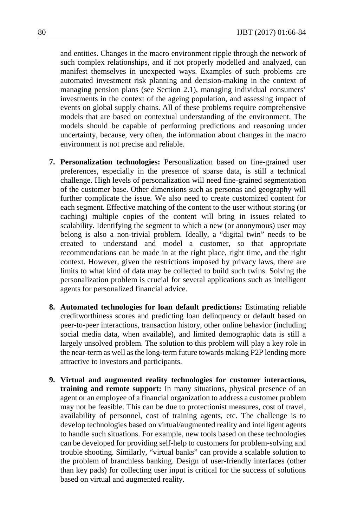and entities. Changes in the macro environment ripple through the network of such complex relationships, and if not properly modelled and analyzed, can manifest themselves in unexpected ways. Examples of such problems are automated investment risk planning and decision-making in the context of managing pension plans (see Section 2.1), managing individual consumers' investments in the context of the ageing population, and assessing impact of events on global supply chains. All of these problems require comprehensive models that are based on contextual understanding of the environment. The models should be capable of performing predictions and reasoning under uncertainty, because, very often, the information about changes in the macro environment is not precise and reliable.

- **7. Personalization technologies:** Personalization based on fine-grained user preferences, especially in the presence of sparse data, is still a technical challenge. High levels of personalization will need fine-grained segmentation of the customer base. Other dimensions such as personas and geography will further complicate the issue. We also need to create customized content for each segment. Effective matching of the content to the user without storing (or caching) multiple copies of the content will bring in issues related to scalability. Identifying the segment to which a new (or anonymous) user may belong is also a non-trivial problem. Ideally, a "digital twin" needs to be created to understand and model a customer, so that appropriate recommendations can be made in at the right place, right time, and the right context. However, given the restrictions imposed by privacy laws, there are limits to what kind of data may be collected to build such twins. Solving the personalization problem is crucial for several applications such as intelligent agents for personalized financial advice.
- **8. Automated technologies for loan default predictions:** Estimating reliable creditworthiness scores and predicting loan delinquency or default based on peer-to-peer interactions, transaction history, other online behavior (including social media data, when available), and limited demographic data is still a largely unsolved problem. The solution to this problem will play a key role in the near-term as well as the long-term future towards making P2P lending more attractive to investors and participants.
- **9. Virtual and augmented reality technologies for customer interactions, training and remote support:** In many situations, physical presence of an agent or an employee of a financial organization to address a customer problem may not be feasible. This can be due to protectionist measures, cost of travel, availability of personnel, cost of training agents, etc. The challenge is to develop technologies based on virtual/augmented reality and intelligent agents to handle such situations. For example, new tools based on these technologies can be developed for providing self-help to customers for problem-solving and trouble shooting. Similarly, "virtual banks" can provide a scalable solution to the problem of branchless banking. Design of user-friendly interfaces (other than key pads) for collecting user input is critical for the success of solutions based on virtual and augmented reality.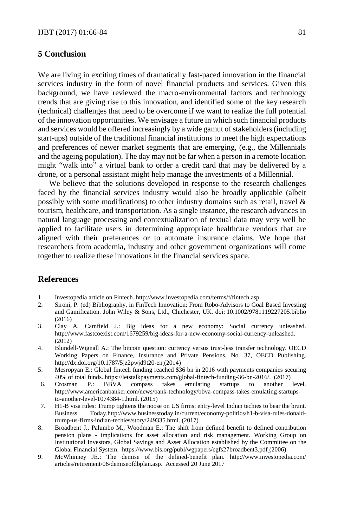## **5 Conclusion**

We are living in exciting times of dramatically fast-paced innovation in the financial services industry in the form of novel financial products and services. Given this background, we have reviewed the macro-environmental factors and technology trends that are giving rise to this innovation, and identified some of the key research (technical) challenges that need to be overcome if we want to realize the full potential of the innovation opportunities. We envisage a future in which such financial products and services would be offered increasingly by a wide gamut of stakeholders (including start-ups) outside of the traditional financial institutions to meet the high expectations and preferences of newer market segments that are emerging, (e.g., the Millennials and the ageing population). The day may not be far when a person in a remote location might "walk into" a virtual bank to order a credit card that may be delivered by a drone, or a personal assistant might help manage the investments of a Millennial.

We believe that the solutions developed in response to the research challenges faced by the financial services industry would also be broadly applicable (albeit possibly with some modifications) to other industry domains such as retail, travel & tourism, healthcare, and transportation. As a single instance, the research advances in natural language processing and contextualization of textual data may very well be applied to facilitate users in determining appropriate healthcare vendors that are aligned with their preferences or to automate insurance claims. We hope that researchers from academia, industry and other government organizations will come together to realize these innovations in the financial services space.

## **References**

- 1. Investopedia article on Fintech[. http://www.investopedia.com/terms/f/fintech.asp](http://www.investopedia.com/terms/f/fintech.asp)<br>2. Sironi, P. (ed) Bibliography, in FinTech Innovation: From Robo-Advisors to Go
- 2. Sironi, P. (ed) Bibliography, in FinTech Innovation: From Robo-Advisors to Goal Based Investing and Gamification. John Wiley & Sons, Ltd., Chichester, UK. doi: 10.1002/9781119227205.biblio (2016)
- 3. Clay A, Camfield J.: Big ideas for a new economy: Social currency unleashed. [http://www.fastcoexist.com/1679259/big-ideas-for-a-new-economy-social-currency-unleashed.](http://www.fastcoexist.com/1679259/big-ideas-for-a-new-economy-social-currency-unleashed)  (2012)
- 4. Blundell-Wignall A.: The bitcoin question: currency versus trust-less transfer technology. OECD Working Papers on Finance, Insurance and Private Pensions, No. 37, OECD Publishing. http://dx.doi.org/10.1787/5jz2pwjd9t20-en (2014)
- 5. Mesropyan E.: Global fintech funding reached \$36 bn in 2016 with payments companies securing 40% of total funds[. https://letstalkpayments.com/global-fintech-funding-36-bn-2016/.](https://letstalkpayments.com/global-fintech-funding-36-bn-2016/) (2017)
- 6. [Crosman](https://www.americanbanker.com/author/penny-crosman) P.: BBVA compass takes emulating startups to another level. [http://www.americanbanker.com/news/bank-technology/bbva-compass-takes-emulating-startups](http://www.americanbanker.com/news/bank-technology/bbva-compass-takes-emulating-startups-to-another-level-1074384-1.html)[to-another-level-1074384-1.html.](http://www.americanbanker.com/news/bank-technology/bbva-compass-takes-emulating-startups-to-another-level-1074384-1.html) (2015)
- 7. H1-B visa rules: Trump tightens the noose on US firms; entry-level Indian techies to bear the brunt. Business Today.http://www.businesstoday.in/current/economy-politics/h1-b-visa-rules-donaldtrump-us-firms-indian-techies/story/249335.html. (2017)
- 8. Broadbent J., Palumbo M., Woodman E.: The shift from defined benefit to defined contribution pension plans - implications for asset allocation and risk management. Working Group on Institutional Investors, Global Savings and Asset Allocation established by the Committee on the Global Financial System. https://www.bis.org/publ/wgpapers/cgfs27broadbent3.pdf (2006)
- 9. McWhinney JE.: The demise of the defined-benefit plan. http://www.investopedia.com/ articles/retirement/06/demiseofdbplan.asp. Accessed 20 June 2017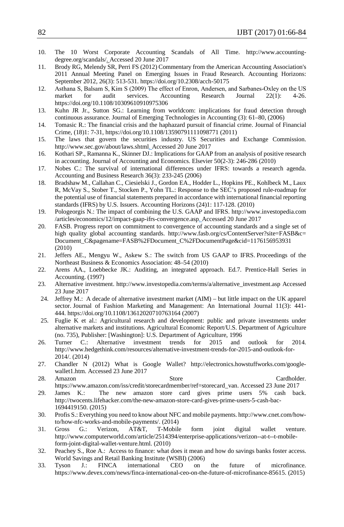- 10. The 10 Worst Corporate Accounting Scandals of All Time. http://www.accountingdegree.org/scandals/. Accessed 20 June 2017
- 11. Brody RG, Melendy SR, Perri FS (2012) Commentary from the American Accounting Association's 2011 Annual Meeting Panel on Emerging Issues in Fraud Research. Accounting Horizons: September 2012, 26(3): 513-531. https://doi.org/10.2308/acch-50175
- 12. Asthana S, Balsam S, Kim S (2009) The effect of Enron, Andersen, and Sarbanes‐Oxley on the US market for audit services. Accounting Research Journal 22(1): 4-26. <https://doi.org/10.1108/10309610910975306>
- 13. Kuhn JR Jr., Sutton SG.: Learning from worldcom: implications for fraud detection through continuous assurance. Journal of Emerging Technologies in Accounting (3): 61–80, (2006)
- 14. Tomasic R.: The financial crisis and the haphazard pursuit of financial crime. Journal of Financial Crime, (18)1: 7-31, <https://doi.org/10.1108/13590791111098771> (2011)
- 15. The laws that govern the securities industry. US Securities and Exchange Commission. http://www.sec.gov/about/laws.shtml. Accessed 20 June 2017
- 16. Kothari SP., Ramanna K., Skinner DJ.: Implications for GAAP from an analysis of positive research in accounting. Journal of Accounting and Economics. Elsevier 50(2-3): 246-286 (2010)
- 17. Nobes C.: The survival of international differences under IFRS: towards a research agenda. Accounting and Business Research 36(3): 233-245 (2006)
- 18. Bradshaw M., Callahan C., Ciesielski J., Gordon EA., Hodder L., Hopkins PE., Kohlbeck M., Laux R, McVay S., Stober T., Stocken P., Yohn TL.: Response to the SEC's proposed rule-roadmap for the potential use of financial statements prepared in accordance with international financial reporting standards (IFRS) by U.S. Issuers. Accounting Horizons (24)1: 117-128. (2010)
- 19. Pologeorgis N.: The impact of combining the U.S. GAAP and IFRS. http://www.investopedia.com /articles/economics/12/impact-gaap-ifrs-convergence.asp. Accessed 20 June 2017
- 20. FASB. Progress report on commitment to convergence of accounting standards and a single set of high quality global accounting standards. [http://www.fasb.org/cs/ContentServer?site=FASB&c=](http://www.fasb.org/cs/ContentServer?site=FASB&c=Document_C&pagename=FASB%2FDocument_C%2FDocumentPage&cid=1176156953931) [Document\\_C&pagename=FASB%2FDocument\\_C%2FDocumentPage&cid=1176156953931](http://www.fasb.org/cs/ContentServer?site=FASB&c=Document_C&pagename=FASB%2FDocument_C%2FDocumentPage&cid=1176156953931) (2010)
- 21. Jeffers AE., Mengyu W., Askew S.: The switch from US GAAP to IFRS. Proceedings of the Northeast Business & Economics Association: 48–54 (2010)
- 22. Arens AA., Loebbecke JK.: Auditing, an integrated approach. Ed.7. Prentice-Hall Series in Accounting. (1997)
- 23. Alternative investment. [http://www.investopedia.com/terms/a/alternative\\_investment.asp Accessed](http://www.investopedia.com/terms/a/alternative_investment.asp%20Accessed%2023%20June%202017) [23 June 2017](http://www.investopedia.com/terms/a/alternative_investment.asp%20Accessed%2023%20June%202017)
- 24. Jeffrey M.: A decade of alternative investment market (AIM) but little impact on the UK apparel sector. Journal of Fashion Marketing and Management: An International Journal 11(3): 441- 444. <https://doi.org/10.1108/13612020710763164> (2007)
- 25. Fuglie K et al.: Agricultural research and development: public and private investments under alternative markets and institutions. Agricultural Economic Report/U.S. Department of Agriculture (no. 735), Publisher: [Washington]: U.S. Department of Agriculture, 1996
- 26. Turner C.: Alternative investment trends for 2015 and outlook for 2014. [http://www.hedgethink.com/resources/alternative-investment-trends-for-2015-and-outlook-for-](http://www.hedgethink.com/resources/alternative-investment-trends-for-2015-and-outlook-for-2014/)[2014/.](http://www.hedgethink.com/resources/alternative-investment-trends-for-2015-and-outlook-for-2014/) (2014)
- 27. Chandler N (2012) What is Google Wallet? http://electronics.howstuffworks.com/googlewallet1.htm. Accessed 23 June 2017
- 28. Amazon Store Cardholder. [https://www.amazon.com/iss/credit/storecardmember/ref=storecard\\_van.](https://www.amazon.com/iss/credit/storecardmember/ref=storecard_van) Accessed 23 June 2017
- 29. James K.: The new amazon store card gives prime users 5% cash back. [http://twocents.lifehacker.com/the-new-amazon-store-card-gives-prime-users-5-cash-bac-](http://twocents.lifehacker.com/the-new-amazon-store-card-gives-prime-users-5-cash-bac-1694419150)[1694419150.](http://twocents.lifehacker.com/the-new-amazon-store-card-gives-prime-users-5-cash-bac-1694419150) (2015)
- 30. Profis S.: Everything you need to know about NFC and mobile payments[. http://www.cnet.com/how](http://www.cnet.com/how-to/how-nfc-works-and-mobile-payments/)[to/how-nfc-works-and-mobile-payments/.](http://www.cnet.com/how-to/how-nfc-works-and-mobile-payments/) (2014)
- 31. Gross G.: Verizon, AT&T, T-Mobile form joint digital wallet venture. [http://www.computerworld.com/article/2514394/enterprise-applications/verizon--at-t--t-mobile](http://www.computerworld.com/article/2514394/enterprise-applications/verizon--at-t--t-mobile-form-joint-digital-wallet-venture.html)[form-joint-digital-wallet-venture.html.](http://www.computerworld.com/article/2514394/enterprise-applications/verizon--at-t--t-mobile-form-joint-digital-wallet-venture.html) (2010)
- 32. Peachey S., Roe A.: Access to finance: what does it mean and how do savings banks foster access. World Savings and Retail Banking Institute (WSBI) (2006)
- 33. Tyson J.: FINCA international CEO on the future of microfinance. [https://www.devex.com/news/finca-international-ceo-on-the-future-of-microfinance-85615.](https://www.devex.com/news/finca-international-ceo-on-the-future-of-microfinance-85615) (2015)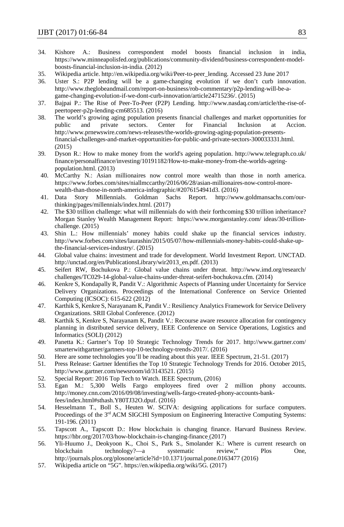- 34. Kishore A.: Business correspondent model boosts financial inclusion in india, [https://www.minneapolisfed.org/publications/community-dividend/business-correspondent-model](https://www.minneapolisfed.org/publications/community-dividend/business-correspondent-model-boosts-financial-inclusion-in-india)[boosts-financial-inclusion-in-india.](https://www.minneapolisfed.org/publications/community-dividend/business-correspondent-model-boosts-financial-inclusion-in-india) (2012)
- 35. Wikipedia article. [http://en.wikipedia.org/wiki/Peer-to-peer\\_lending.](http://en.wikipedia.org/wiki/Peer-to-peer_lending) Accessed 23 June 2017
- 36. Uster S.: P2P lending will be a game-changing evolution if we don't curb innovation. [http://www.theglobeandmail.com/report-on-business/rob-commentary/p2p-lending-will-be-a](http://www.theglobeandmail.com/report-on-business/rob-commentary/p2p-lending-will-be-a-game-changing-evolution-if-we-dont-curb-innovation/article24715236/)[game-changing-evolution-if-we-dont-curb-innovation/article24715236/.](http://www.theglobeandmail.com/report-on-business/rob-commentary/p2p-lending-will-be-a-game-changing-evolution-if-we-dont-curb-innovation/article24715236/) (2015)
- 37. Bajpai P.: The Rise of Peer-To-Peer (P2P) Lending. [http://www.nasdaq.com/article/the-rise-of](http://www.nasdaq.com/article/the-rise-of-peertopeer-p2p-lending-cm685513)[peertopeer-p2p-lending-cm685513.](http://www.nasdaq.com/article/the-rise-of-peertopeer-p2p-lending-cm685513) (2016)
- 38. The world's growing aging population presents financial challenges and market opportunities for public and private sectors. Center for Financial Inclusion at Accion. [http://www.prnewswire.com/news-releases/the-worlds-growing-aging-population-presents](http://www.prnewswire.com/news-releases/the-worlds-growing-aging-population-presents-financial-challenges-and-market-opportunities-for-public-and-private-sectors-300033331.html)[financial-challenges-and-market-opportunities-for-public-and-private-sectors-300033331.html.](http://www.prnewswire.com/news-releases/the-worlds-growing-aging-population-presents-financial-challenges-and-market-opportunities-for-public-and-private-sectors-300033331.html)  (2015)
- 39. Dyson R.: How to make money from the world's ageing population. [http://www.telegraph.co.uk/](http://www.telegraph.co.uk/finance/personalfinance/investing/10191182/How-to-make-money-from-the-worlds-ageing-population.html) [finance/personalfinance/investing/10191182/How-to-make-money-from-the-worlds-ageing](http://www.telegraph.co.uk/finance/personalfinance/investing/10191182/How-to-make-money-from-the-worlds-ageing-population.html)[population.html.](http://www.telegraph.co.uk/finance/personalfinance/investing/10191182/How-to-make-money-from-the-worlds-ageing-population.html) (2013)
- 40. McCarthy N.: Asian millionaires now control more wealth than those in north america. [https://www.forbes.com/sites/niallmccarthy/2016/06/28/asian-millionaires-now-control-more](https://www.forbes.com/sites/niallmccarthy/2016/06/28/asian-millionaires-now-control-more-wealth-than-those-in-north-america-infographic/#2076154941d3)[wealth-than-those-in-north-america-infographic/#2076154941d3.](https://www.forbes.com/sites/niallmccarthy/2016/06/28/asian-millionaires-now-control-more-wealth-than-those-in-north-america-infographic/#2076154941d3) (2016)
- 41. Data Story Millennials. Goldman Sachs Report. http://www.goldmansachs.com/ourthinking/pages/millennials/index.html. (2017)
- 42. The \$30 trillion challenge: what will millennials do with their forthcoming \$30 trillion inheritance? Morgan Stanley Wealth Management Report: https://www.morganstanley.com/ ideas/30-trillionchallenge. (2015)
- 43. Shin L.: How millennials' money habits could shake up the financial services industry. http://www.forbes.com/sites/laurashin/2015/05/07/how-millennials-money-habits-could-shake-upthe-financial-services-industry/. (2015)
- 44. Global value chains: investment and trade for development. World Investment Report. UNCTAD. [http://unctad.org/en/PublicationsLibrary/wir2013\\_en.pdf.](http://unctad.org/en/PublicationsLibrary/wir2013_en.pdf) (2013)
- 45. Seifert RW, Bochukova P.: Global value chains under threat. [http://www.imd.org/research/](http://www.imd.org/research/challenges/TC029-14-global-value-chains-under-threat-seifert-bochukova.cfm) [challenges/TC029-14-global-value-chains-under-threat-seifert-bochukova.cfm.](http://www.imd.org/research/challenges/TC029-14-global-value-chains-under-threat-seifert-bochukova.cfm) (2014)
- 46. Kenkre S, Kondapally R, Pandit V.: Algorithmic Aspects of Planning under Uncertainty for Service Delivery Organizations. Proceedings of the International Conference on Service Oriented Computing (ICSOC): 615-622 (2012)
- 47. Karthik S, Kenkre S, Narayanam K, Pandit V.: Resiliency Analytics Framework for Service Delivery Organizations. SRII Global Conference. (2012)
- 48. Karthik S, Kenkre S, Narayanam K, Pandit V.: Recourse aware resource allocation for contingency planning in distributed service delivery, IEEE Conference on Service Operations, Logistics and Informatics (SOLI) (2012)
- 49. Panetta K.: Gartner's Top 10 Strategic Technology Trends for 2017. http://www.gartner.com/ smarterwithgartner/gartners-top-10-technology-trends-2017/. (2016)
- 50. Here are some technologies you'll be reading about this year. IEEE Spectrum, 21-51. (2017)
- 51. Press Release: Gartner Identifies the Top 10 Strategic Technology Trends for 2016. October 2015, [http://www.gartner.com/newsroom/id/3143521.](http://www.gartner.com/newsroom/id/3143521) (2015)
- 52. Special Report: 2016 Top Tech to Watch. IEEE Spectrum, (2016)
- 53. Egan M.: 5,300 Wells Fargo employees fired over 2 million phony accounts. [http://money.cnn.com/2016/09/08/investing/wells-fargo-created-phony-accounts-bank](http://money.cnn.com/2016/09/08/investing/wells-fargo-created-phony-accounts-bank-fees/index.html#sthash.Y80TJ32O.dpuf)[fees/index.html#sthash.Y80TJ32O.dpuf.](http://money.cnn.com/2016/09/08/investing/wells-fargo-created-phony-accounts-bank-fees/index.html#sthash.Y80TJ32O.dpuf) (2016)
- 54. Hesselmann T., Boll S., Heuten W. SCIVA: designing applications for surface computers. Proceedings of the 3<sup>rd</sup> ACM SIGCHI Symposium on Engineering Interactive Computing Systems: 191-196. (2011)
- 55. Tapscott A., Tapscott D.: How blockchain is changing finance. Harvard Business Review. https://hbr.org/2017/03/how-blockchain-is-changing-finance (2017)
- 56. Yli-Huumo J., Deokyoon K., Choi S., Park S., Smolander K.: Where is current research on blockchain technology?—a systematic review," Plos One, <http://journals.plos.org/plosone/article?id=10.1371/journal.pone.0163477> (2016)
- 57. Wikipedia article on "5G"[. https://en.wikipedia.org/wiki/5G.](https://en.wikipedia.org/wiki/5G) (2017)